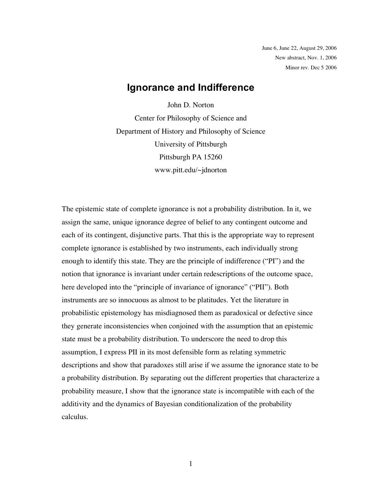June 6, June 22, August 29, 2006 New abstract, Nov. 1, 2006 Minor rev. Dec 5 2006

# **Ignorance and Indifference**

John D. Norton Center for Philosophy of Science and Department of History and Philosophy of Science University of Pittsburgh Pittsburgh PA 15260 www.pitt.edu/~jdnorton

The epistemic state of complete ignorance is not a probability distribution. In it, we assign the same, unique ignorance degree of belief to any contingent outcome and each of its contingent, disjunctive parts. That this is the appropriate way to represent complete ignorance is established by two instruments, each individually strong enough to identify this state. They are the principle of indifference ("PI") and the notion that ignorance is invariant under certain redescriptions of the outcome space, here developed into the "principle of invariance of ignorance" ("PII"). Both instruments are so innocuous as almost to be platitudes. Yet the literature in probabilistic epistemology has misdiagnosed them as paradoxical or defective since they generate inconsistencies when conjoined with the assumption that an epistemic state must be a probability distribution. To underscore the need to drop this assumption, I express PII in its most defensible form as relating symmetric descriptions and show that paradoxes still arise if we assume the ignorance state to be a probability distribution. By separating out the different properties that characterize a probability measure, I show that the ignorance state is incompatible with each of the additivity and the dynamics of Bayesian conditionalization of the probability calculus.

1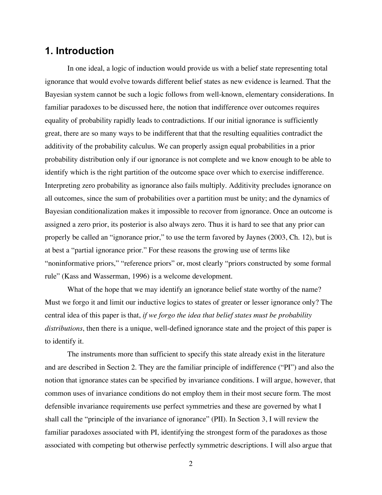# **1. Introduction**

In one ideal, a logic of induction would provide us with a belief state representing total ignorance that would evolve towards different belief states as new evidence is learned. That the Bayesian system cannot be such a logic follows from well-known, elementary considerations. In familiar paradoxes to be discussed here, the notion that indifference over outcomes requires equality of probability rapidly leads to contradictions. If our initial ignorance is sufficiently great, there are so many ways to be indifferent that that the resulting equalities contradict the additivity of the probability calculus. We can properly assign equal probabilities in a prior probability distribution only if our ignorance is not complete and we know enough to be able to identify which is the right partition of the outcome space over which to exercise indifference. Interpreting zero probability as ignorance also fails multiply. Additivity precludes ignorance on all outcomes, since the sum of probabilities over a partition must be unity; and the dynamics of Bayesian conditionalization makes it impossible to recover from ignorance. Once an outcome is assigned a zero prior, its posterior is also always zero. Thus it is hard to see that any prior can properly be called an "ignorance prior," to use the term favored by Jaynes (2003, Ch. 12), but is at best a "partial ignorance prior." For these reasons the growing use of terms like "noninformative priors," "reference priors" or, most clearly "priors constructed by some formal rule" (Kass and Wasserman, 1996) is a welcome development.

What of the hope that we may identify an ignorance belief state worthy of the name? Must we forgo it and limit our inductive logics to states of greater or lesser ignorance only? The central idea of this paper is that, *if we forgo the idea that belief states must be probability distributions*, then there is a unique, well-defined ignorance state and the project of this paper is to identify it.

The instruments more than sufficient to specify this state already exist in the literature and are described in Section 2. They are the familiar principle of indifference ("PI") and also the notion that ignorance states can be specified by invariance conditions. I will argue, however, that common uses of invariance conditions do not employ them in their most secure form. The most defensible invariance requirements use perfect symmetries and these are governed by what I shall call the "principle of the invariance of ignorance" (PII). In Section 3, I will review the familiar paradoxes associated with PI, identifying the strongest form of the paradoxes as those associated with competing but otherwise perfectly symmetric descriptions. I will also argue that

2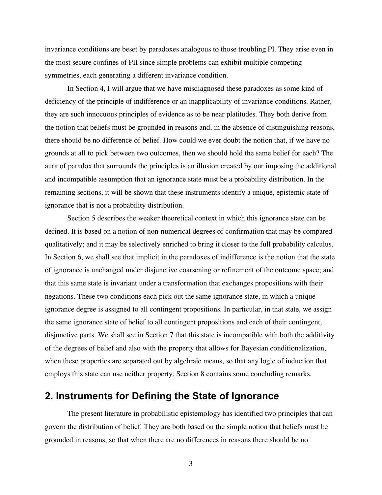invariance conditions are beset by paradoxes analogous to those troubling PI. They arise even in the most secure confines of PII since simple problems can exhibit multiple competing symmetries, each generating a different invariance condition.

In Section 4, I will argue that we have misdiagnosed these paradoxes as some kind of deficiency of the principle of indifference or an inapplicability of invariance conditions. Rather, they are such innocuous principles of evidence as to be near platitudes. They both derive from the notion that beliefs must be grounded in reasons and, in the absence of distinguishing reasons, there should be no difference of belief. How could we ever doubt the notion that, if we have no grounds at all to pick between two outcomes, then we should hold the same belief for each? The aura of paradox that surrounds the principles is an illusion created by our imposing the additional and incompatible assumption that an ignorance state must be a probability distribution. In the remaining sections, it will be shown that these instruments identify a unique, epistemic state of ignorance that is not a probability distribution.

Section 5 describes the weaker theoretical context in which this ignorance state can be defined. It is based on a notion of non-numerical degrees of confirmation that may be compared qualitatively; and it may be selectively enriched to bring it closer to the full probability calculus. In Section 6, we shall see that implicit in the paradoxes of indifference is the notion that the state of ignorance is unchanged under disjunctive coarsening or refinement of the outcome space; and that this same state is invariant under a transformation that exchanges propositions with their negations. These two conditions each pick out the same ignorance state, in which a unique ignorance degree is assigned to all contingent propositions. In particular, in that state, we assign the same ignorance state of belief to all contingent propositions and each of their contingent, disjunctive parts. We shall see in Section 7 that this state is incompatible with both the additivity of the degrees of belief and also with the property that allows for Bayesian conditionalization, when these properties are separated out by algebraic means, so that any logic of induction that employs this state can use neither property. Section 8 contains some concluding remarks.

# **2. Instruments for Defining the State of Ignorance**

The present literature in probabilistic epistemology has identified two principles that can govern the distribution of belief. They are both based on the simple notion that beliefs must be grounded in reasons, so that when there are no differences in reasons there should be no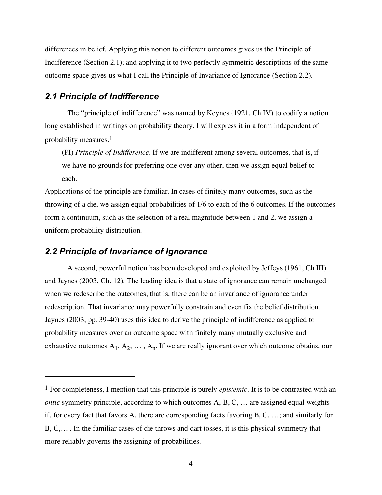differences in belief. Applying this notion to different outcomes gives us the Principle of Indifference (Section 2.1); and applying it to two perfectly symmetric descriptions of the same outcome space gives us what I call the Principle of Invariance of Ignorance (Section 2.2).

## *2.1 Principle of Indifference*

The "principle of indifference" was named by Keynes (1921, Ch.IV) to codify a notion long established in writings on probability theory. I will express it in a form independent of probability measures. 1

(PI) *Principle of Indifference*. If we are indifferent among several outcomes, that is, if we have no grounds for preferring one over any other, then we assign equal belief to each.

Applications of the principle are familiar. In cases of finitely many outcomes, such as the throwing of a die, we assign equal probabilities of 1/6 to each of the 6 outcomes. If the outcomes form a continuum, such as the selection of a real magnitude between 1 and 2, we assign a uniform probability distribution.

#### *2.2 Principle of Invariance of Ignorance*

 $\overline{a}$ 

A second, powerful notion has been developed and exploited by Jeffeys (1961, Ch.III) and Jaynes (2003, Ch. 12). The leading idea is that a state of ignorance can remain unchanged when we redescribe the outcomes; that is, there can be an invariance of ignorance under redescription. That invariance may powerfully constrain and even fix the belief distribution. Jaynes (2003, pp. 39-40) uses this idea to derive the principle of indifference as applied to probability measures over an outcome space with finitely many mutually exclusive and exhaustive outcomes  $A_1, A_2, \ldots, A_n$ . If we are really ignorant over which outcome obtains, our

<sup>1</sup> For completeness, I mention that this principle is purely *epistemic*. It is to be contrasted with an *ontic* symmetry principle, according to which outcomes A, B, C, ... are assigned equal weights if, for every fact that favors A, there are corresponding facts favoring B, C, …; and similarly for B, C,… . In the familiar cases of die throws and dart tosses, it is this physical symmetry that more reliably governs the assigning of probabilities.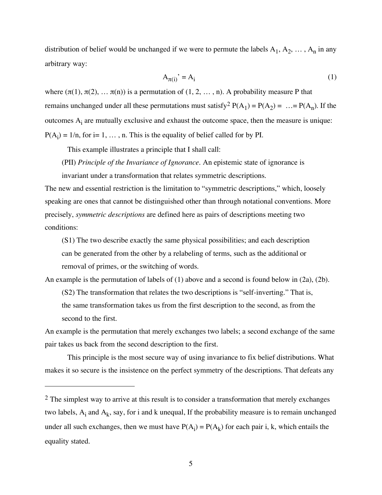distribution of belief would be unchanged if we were to permute the labels  $A_1, A_2, \ldots, A_n$  in any arbitrary way:

$$
A_{\pi(i)}^{\dagger} = A_i \tag{1}
$$

where  $(\pi(1), \pi(2), \ldots, \pi(n))$  is a permutation of  $(1, 2, \ldots, n)$ . A probability measure P that remains unchanged under all these permutations must satisfy<sup>2</sup>  $P(A_1) = P(A_2) = ... = P(A_n)$ . If the outcomes  $A_i$  are mutually exclusive and exhaust the outcome space, then the measure is unique:  $P(A_i) = 1/n$ , for i= 1, ..., n. This is the equality of belief called for by PI.

This example illustrates a principle that I shall call:

 $\overline{a}$ 

(PII) *Principle of the Invariance of Ignorance.* An epistemic state of ignorance is invariant under a transformation that relates symmetric descriptions.

The new and essential restriction is the limitation to "symmetric descriptions," which, loosely speaking are ones that cannot be distinguished other than through notational conventions. More precisely, *symmetric descriptions* are defined here as pairs of descriptions meeting two conditions:

(S1) The two describe exactly the same physical possibilities; and each description can be generated from the other by a relabeling of terms, such as the additional or removal of primes, or the switching of words.

An example is the permutation of labels of (1) above and a second is found below in (2a), (2b).

(S2) The transformation that relates the two descriptions is "self-inverting." That is, the same transformation takes us from the first description to the second, as from the second to the first.

An example is the permutation that merely exchanges two labels; a second exchange of the same pair takes us back from the second description to the first.

This principle is the most secure way of using invariance to fix belief distributions. What makes it so secure is the insistence on the perfect symmetry of the descriptions. That defeats any

<sup>&</sup>lt;sup>2</sup> The simplest way to arrive at this result is to consider a transformation that merely exchanges two labels,  $A_i$  and  $A_k$ , say, for i and k unequal, If the probability measure is to remain unchanged under all such exchanges, then we must have  $P(A_i) = P(A_k)$  for each pair i, k, which entails the equality stated.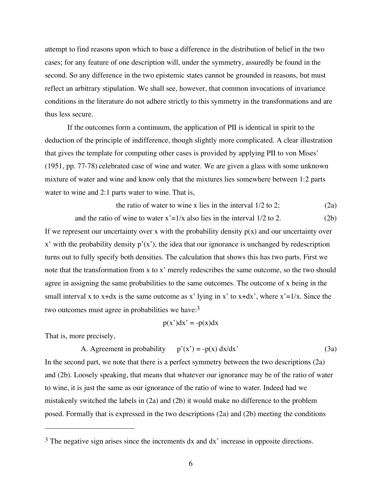attempt to find reasons upon which to base a difference in the distribution of belief in the two cases; for any feature of one description will, under the symmetry, assuredly be found in the second. So any difference in the two epistemic states cannot be grounded in reasons, but must reflect an arbitrary stipulation. We shall see, however, that common invocations of invariance conditions in the literature do not adhere strictly to this symmetry in the transformations and are thus less secure.

If the outcomes form a continuum, the application of PII is identical in spirit to the deduction of the principle of indifference, though slightly more complicated. A clear illustration that gives the template for computing other cases is provided by applying PII to von Mises' (1951, pp. 77-78) celebrated case of wine and water. We are given a glass with some unknown mixture of water and wine and know only that the mixtures lies somewhere between 1:2 parts water to wine and 2:1 parts water to wine. That is,

the ratio of water to wine x lies in the interval 
$$
1/2
$$
 to 2; (2a)

and the ratio of wine to water  $x'=1/x$  also lies in the interval  $1/2$  to 2. (2b)

If we represent our uncertainty over x with the probability density  $p(x)$  and our uncertainty over  $x'$  with the probability density  $p'(x')$ , the idea that our ignorance is unchanged by redescription turns out to fully specify both densities. The calculation that shows this has two parts. First we note that the transformation from x to x' merely redescribes the same outcome, so the two should agree in assigning the same probabilities to the same outcomes. The outcome of x being in the small interval x to x+dx is the same outcome as x' lying in x' to x+dx', where  $x'=1/x$ . Since the two outcomes must agree in probabilities we have: $3$ 

$$
p(x')dx' = -p(x)dx
$$

That is, more precisely,

 $\overline{a}$ 

A. Agreement in probability  $p'(x') = -p(x) dx/dx'$  (3a) In the second part, we note that there is a perfect symmetry between the two descriptions (2a) and (2b). Loosely speaking, that means that whatever our ignorance may be of the ratio of water to wine, it is just the same as our ignorance of the ratio of wine to water. Indeed had we mistakenly switched the labels in (2a) and (2b) it would make no difference to the problem posed. Formally that is expressed in the two descriptions (2a) and (2b) meeting the conditions

<sup>&</sup>lt;sup>3</sup> The negative sign arises since the increments dx and dx' increase in opposite directions.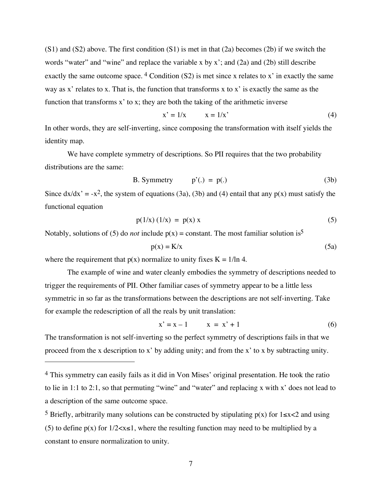$(S1)$  and  $(S2)$  above. The first condition  $(S1)$  is met in that  $(2a)$  becomes  $(2b)$  if we switch the words "water" and "wine" and replace the variable x by x'; and  $(2a)$  and  $(2b)$  still describe exactly the same outcome space. 4 Condition (S2) is met since x relates to x' in exactly the same way as x' relates to x. That is, the function that transforms x to x' is exactly the same as the function that transforms x' to x; they are both the taking of the arithmetic inverse

$$
x' = 1/x \qquad x = 1/x'
$$
 (4)

In other words, they are self-inverting, since composing the transformation with itself yields the identity map.

We have complete symmetry of descriptions. So PII requires that the two probability distributions are the same:

B. Symmetry 
$$
p'(.) = p(.)
$$
 (3b)

Since  $dx/dx' = -x^2$ , the system of equations (3a), (3b) and (4) entail that any  $p(x)$  must satisfy the functional equation

$$
p(1/x) (1/x) = p(x) x \tag{5}
$$

Notably, solutions of (5) do *not* include  $p(x) = constant$ . The most familiar solution is<sup>5</sup>

$$
p(x) = K/x \tag{5a}
$$

where the requirement that  $p(x)$  normalize to unity fixes  $K = 1/\ln 4$ .

 $\overline{a}$ 

The example of wine and water cleanly embodies the symmetry of descriptions needed to trigger the requirements of PII. Other familiar cases of symmetry appear to be a little less symmetric in so far as the transformations between the descriptions are not self-inverting. Take for example the redescription of all the reals by unit translation:

$$
x' = x - 1 \qquad x = x' + 1 \tag{6}
$$

The transformation is not self-inverting so the perfect symmetry of descriptions fails in that we proceed from the x description to x' by adding unity; and from the x' to x by subtracting unity.

<sup>4</sup> This symmetry can easily fails as it did in Von Mises' original presentation. He took the ratio to lie in 1:1 to 2:1, so that permuting "wine" and "water" and replacing x with x' does not lead to a description of the same outcome space.

<sup>&</sup>lt;sup>5</sup> Briefly, arbitrarily many solutions can be constructed by stipulating  $p(x)$  for  $1 \le x \le 2$  and using (5) to define  $p(x)$  for  $1/2 < x \le 1$ , where the resulting function may need to be multiplied by a constant to ensure normalization to unity.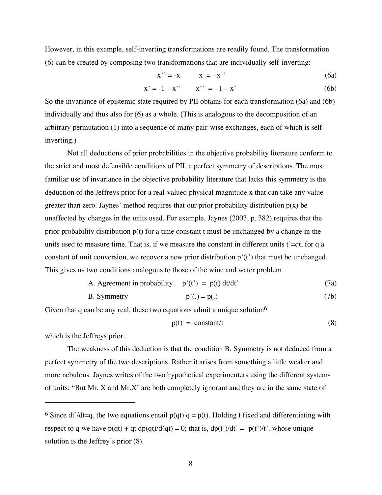However, in this example, self-inverting transformations are readily found. The transformation (6) can be created by composing two transformations that are individually self-inverting:

$$
x'' = -x \qquad x = -x'' \tag{6a}
$$

$$
x' = -1 - x'' \qquad x'' = -1 - x' \tag{6b}
$$

So the invariance of epistemic state required by PII obtains for each transformation (6a) and (6b) individually and thus also for (6) as a whole. (This is analogous to the decomposition of an arbitrary permutation (1) into a sequence of many pair-wise exchanges, each of which is selfinverting.)

Not all deductions of prior probabilities in the objective probability literature conform to the strict and most defensible conditions of PII, a perfect symmetry of descriptions. The most familiar use of invariance in the objective probability literature that lacks this symmetry is the deduction of the Jeffreys prior for a real-valued physical magnitude x that can take any value greater than zero. Jaynes' method requires that our prior probability distribution  $p(x)$  be unaffected by changes in the units used. For example, Jaynes (2003, p. 382) requires that the prior probability distribution  $p(t)$  for a time constant t must be unchanged by a change in the units used to measure time. That is, if we measure the constant in different units  $t' = qt$ , for q a constant of unit conversion, we recover a new prior distribution p'(t') that must be unchanged. This gives us two conditions analogous to those of the wine and water problem

A. Agreement in probability 
$$
p'(t') = p(t) dt/dt'
$$
 (7a)

B. Symmetry 
$$
p'(.) = p(.)
$$
 (7b)

Given that q can be any real, these two equations admit a unique solution  $6\%$ 

$$
p(t) = constant/t
$$
 (8)

which is the Jeffreys prior.

 $\overline{a}$ 

The weakness of this deduction is that the condition B. Symmetry is not deduced from a perfect symmetry of the two descriptions. Rather it arises from something a little weaker and more nebulous. Jaynes writes of the two hypothetical experimenters using the different systems of units: "But Mr. X and Mr.X' are both completely ignorant and they are in the same state of

<sup>&</sup>lt;sup>6</sup> Since dt'/dt=q, the two equations entail  $p(qt)$  q =  $p(t)$ . Holding t fixed and differentiating with respect to q we have  $p(qt) + qt dp(qt)/d(qt) = 0$ ; that is,  $dp(t')/dt' = -p(t')/t'$ . whose unique solution is the Jeffrey's prior (8).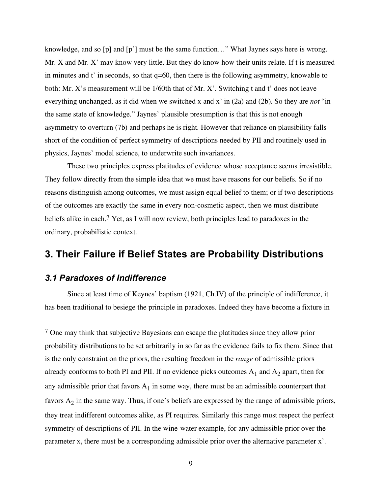knowledge, and so [p] and [p'] must be the same function…" What Jaynes says here is wrong. Mr. X and Mr. X' may know very little. But they do know how their units relate. If t is measured in minutes and t' in seconds, so that q=60, then there is the following asymmetry, knowable to both: Mr. X's measurement will be 1/60th that of Mr. X'. Switching t and t' does not leave everything unchanged, as it did when we switched x and x' in (2a) and (2b). So they are *not* "in the same state of knowledge." Jaynes' plausible presumption is that this is not enough asymmetry to overturn (7b) and perhaps he is right. However that reliance on plausibility falls short of the condition of perfect symmetry of descriptions needed by PII and routinely used in physics, Jaynes' model science, to underwrite such invariances.

These two principles express platitudes of evidence whose acceptance seems irresistible. They follow directly from the simple idea that we must have reasons for our beliefs. So if no reasons distinguish among outcomes, we must assign equal belief to them; or if two descriptions of the outcomes are exactly the same in every non-cosmetic aspect, then we must distribute beliefs alike in each.<sup>7</sup> Yet, as I will now review, both principles lead to paradoxes in the ordinary, probabilistic context.

# **3. Their Failure if Belief States are Probability Distributions**

## *3.1 Paradoxes of Indifference*

 $\overline{a}$ 

Since at least time of Keynes' baptism (1921, Ch.IV) of the principle of indifference, it has been traditional to besiege the principle in paradoxes. Indeed they have become a fixture in

<sup>7</sup> One may think that subjective Bayesians can escape the platitudes since they allow prior probability distributions to be set arbitrarily in so far as the evidence fails to fix them. Since that is the only constraint on the priors, the resulting freedom in the *range* of admissible priors already conforms to both PI and PII. If no evidence picks outcomes  $A_1$  and  $A_2$  apart, then for any admissible prior that favors  $A_1$  in some way, there must be an admissible counterpart that favors  $A_2$  in the same way. Thus, if one's beliefs are expressed by the range of admissible priors, they treat indifferent outcomes alike, as PI requires. Similarly this range must respect the perfect symmetry of descriptions of PII. In the wine-water example, for any admissible prior over the parameter x, there must be a corresponding admissible prior over the alternative parameter x'.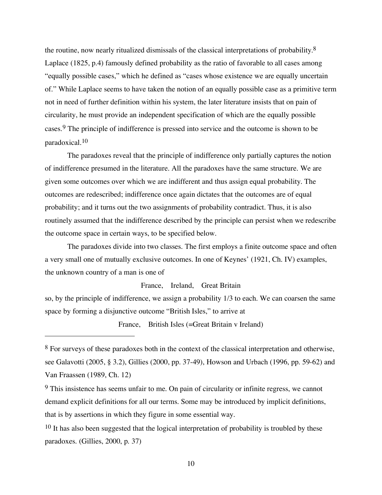the routine, now nearly ritualized dismissals of the classical interpretations of probability. $8$ Laplace (1825, p.4) famously defined probability as the ratio of favorable to all cases among "equally possible cases," which he defined as "cases whose existence we are equally uncertain of." While Laplace seems to have taken the notion of an equally possible case as a primitive term not in need of further definition within his system, the later literature insists that on pain of circularity, he must provide an independent specification of which are the equally possible cases.9 The principle of indifference is pressed into service and the outcome is shown to be paradoxical. 10

The paradoxes reveal that the principle of indifference only partially captures the notion of indifference presumed in the literature. All the paradoxes have the same structure. We are given some outcomes over which we are indifferent and thus assign equal probability. The outcomes are redescribed; indifference once again dictates that the outcomes are of equal probability; and it turns out the two assignments of probability contradict. Thus, it is also routinely assumed that the indifference described by the principle can persist when we redescribe the outcome space in certain ways, to be specified below.

The paradoxes divide into two classes. The first employs a finite outcome space and often a very small one of mutually exclusive outcomes. In one of Keynes' (1921, Ch. IV) examples, the unknown country of a man is one of

#### France, Ireland, Great Britain

so, by the principle of indifference, we assign a probability 1/3 to each. We can coarsen the same space by forming a disjunctive outcome "British Isles," to arrive at

France, British Isles (=Great Britain v Ireland)

 $\overline{a}$ 

<sup>8</sup> For surveys of these paradoxes both in the context of the classical interpretation and otherwise, see Galavotti (2005, § 3.2), Gillies (2000, pp. 37-49), Howson and Urbach (1996, pp. 59-62) and Van Fraassen (1989, Ch. 12)

 $9$  This insistence has seems unfair to me. On pain of circularity or infinite regress, we cannot demand explicit definitions for all our terms. Some may be introduced by implicit definitions, that is by assertions in which they figure in some essential way.

<sup>&</sup>lt;sup>10</sup> It has also been suggested that the logical interpretation of probability is troubled by these paradoxes. (Gillies, 2000, p. 37)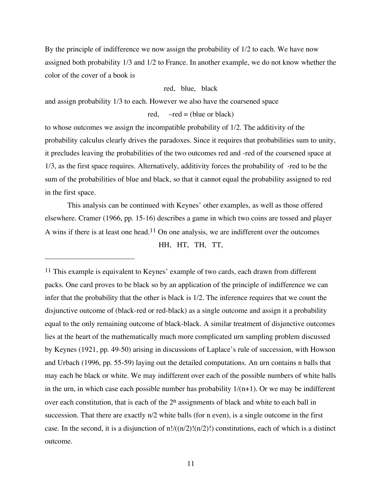By the principle of indifference we now assign the probability of 1/2 to each. We have now assigned both probability 1/3 and 1/2 to France. In another example, we do not know whether the color of the cover of a book is

#### red, blue, black

and assign probability 1/3 to each. However we also have the coarsened space

 $\overline{a}$ 

red,  $-\text{red} = (\text{blue or black})$ 

to whose outcomes we assign the incompatible probability of 1/2. The additivity of the probability calculus clearly drives the paradoxes. Since it requires that probabilities sum to unity, it precludes leaving the probabilities of the two outcomes red and -red of the coarsened space at 1/3, as the first space requires. Alternatively, additivity forces the probability of -red to be the sum of the probabilities of blue and black, so that it cannot equal the probability assigned to red in the first space.

This analysis can be continued with Keynes' other examples, as well as those offered elsewhere. Cramer (1966, pp. 15-16) describes a game in which two coins are tossed and player A wins if there is at least one head.<sup>11</sup> On one analysis, we are indifferent over the outcomes HH, HT, TH, TT,

<sup>11</sup> This example is equivalent to Keynes' example of two cards, each drawn from different packs. One card proves to be black so by an application of the principle of indifference we can infer that the probability that the other is black is 1/2. The inference requires that we count the disjunctive outcome of (black-red or red-black) as a single outcome and assign it a probability equal to the only remaining outcome of black-black. A similar treatment of disjunctive outcomes lies at the heart of the mathematically much more complicated urn sampling problem discussed by Keynes (1921, pp. 49-50) arising in discussions of Laplace's rule of succession, with Howson and Urbach (1996, pp. 55-59) laying out the detailed computations. An urn contains n balls that may each be black or white. We may indifferent over each of the possible numbers of white balls in the urn, in which case each possible number has probability  $1/(n+1)$ . Or we may be indifferent over each constitution, that is each of the  $2^n$  assignments of black and white to each ball in succession. That there are exactly n/2 white balls (for n even), is a single outcome in the first case. In the second, it is a disjunction of  $n!/((n/2)!(n/2)!)$  constitutions, each of which is a distinct outcome.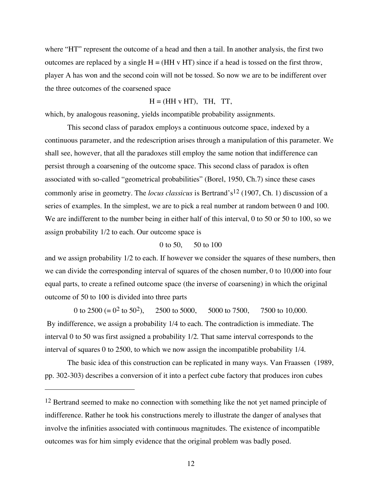where "HT" represent the outcome of a head and then a tail. In another analysis, the first two outcomes are replaced by a single  $H = (HH v HT)$  since if a head is tossed on the first throw, player A has won and the second coin will not be tossed. So now we are to be indifferent over the three outcomes of the coarsened space

#### $H = (HH v HT)$ , TH, TT,

which, by analogous reasoning, yields incompatible probability assignments.

This second class of paradox employs a continuous outcome space, indexed by a continuous parameter, and the redescription arises through a manipulation of this parameter. We shall see, however, that all the paradoxes still employ the same notion that indifference can persist through a coarsening of the outcome space. This second class of paradox is often associated with so-called "geometrical probabilities" (Borel, 1950, Ch.7) since these cases commonly arise in geometry. The *locus classicus* is Bertrand's<sup>12</sup> (1907, Ch. 1) discussion of a series of examples. In the simplest, we are to pick a real number at random between 0 and 100. We are indifferent to the number being in either half of this interval, 0 to 50 or 50 to 100, so we assign probability 1/2 to each. Our outcome space is

#### 0 to 50, 50 to 100

and we assign probability 1/2 to each. If however we consider the squares of these numbers, then we can divide the corresponding interval of squares of the chosen number, 0 to 10,000 into four equal parts, to create a refined outcome space (the inverse of coarsening) in which the original outcome of 50 to 100 is divided into three parts

0 to  $2500 (= 0^2$  to  $50^2$ ),  $2500$  to  $5000$ ,  $5000$  to  $7500$ ,  $7500$  to  $10,000$ . By indifference, we assign a probability 1/4 to each. The contradiction is immediate. The interval 0 to 50 was first assigned a probability 1/2. That same interval corresponds to the interval of squares 0 to 2500, to which we now assign the incompatible probability 1/4.

The basic idea of this construction can be replicated in many ways. Van Fraassen (1989, pp. 302-303) describes a conversion of it into a perfect cube factory that produces iron cubes

 $\overline{a}$ 

<sup>&</sup>lt;sup>12</sup> Bertrand seemed to make no connection with something like the not yet named principle of indifference. Rather he took his constructions merely to illustrate the danger of analyses that involve the infinities associated with continuous magnitudes. The existence of incompatible outcomes was for him simply evidence that the original problem was badly posed.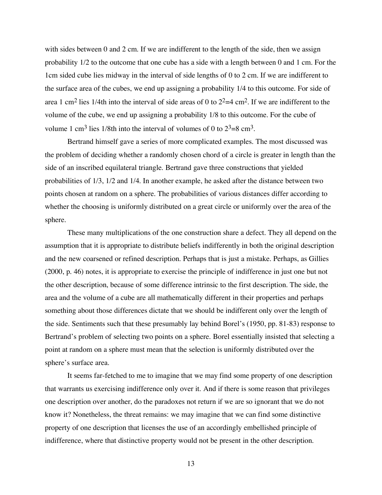with sides between 0 and 2 cm. If we are indifferent to the length of the side, then we assign probability 1/2 to the outcome that one cube has a side with a length between 0 and 1 cm. For the 1cm sided cube lies midway in the interval of side lengths of 0 to 2 cm. If we are indifferent to the surface area of the cubes, we end up assigning a probability 1/4 to this outcome. For side of area 1 cm<sup>2</sup> lies 1/4th into the interval of side areas of 0 to  $2^2=4$  cm<sup>2</sup>. If we are indifferent to the volume of the cube, we end up assigning a probability 1/8 to this outcome. For the cube of volume 1 cm<sup>3</sup> lies 1/8th into the interval of volumes of 0 to  $2^3 = 8 \text{ cm}^3$ .

Bertrand himself gave a series of more complicated examples. The most discussed was the problem of deciding whether a randomly chosen chord of a circle is greater in length than the side of an inscribed equilateral triangle. Bertrand gave three constructions that yielded probabilities of 1/3, 1/2 and 1/4. In another example, he asked after the distance between two points chosen at random on a sphere. The probabilities of various distances differ according to whether the choosing is uniformly distributed on a great circle or uniformly over the area of the sphere.

These many multiplications of the one construction share a defect. They all depend on the assumption that it is appropriate to distribute beliefs indifferently in both the original description and the new coarsened or refined description. Perhaps that is just a mistake. Perhaps, as Gillies (2000, p. 46) notes, it is appropriate to exercise the principle of indifference in just one but not the other description, because of some difference intrinsic to the first description. The side, the area and the volume of a cube are all mathematically different in their properties and perhaps something about those differences dictate that we should be indifferent only over the length of the side. Sentiments such that these presumably lay behind Borel's (1950, pp. 81-83) response to Bertrand's problem of selecting two points on a sphere. Borel essentially insisted that selecting a point at random on a sphere must mean that the selection is uniformly distributed over the sphere's surface area.

It seems far-fetched to me to imagine that we may find some property of one description that warrants us exercising indifference only over it. And if there is some reason that privileges one description over another, do the paradoxes not return if we are so ignorant that we do not know it? Nonetheless, the threat remains: we may imagine that we can find some distinctive property of one description that licenses the use of an accordingly embellished principle of indifference, where that distinctive property would not be present in the other description.

13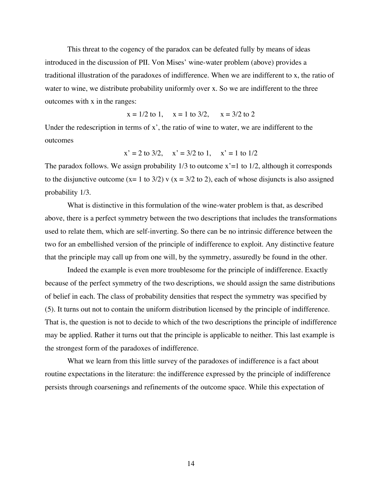This threat to the cogency of the paradox can be defeated fully by means of ideas introduced in the discussion of PII. Von Mises' wine-water problem (above) provides a traditional illustration of the paradoxes of indifference. When we are indifferent to x, the ratio of water to wine, we distribute probability uniformly over x. So we are indifferent to the three outcomes with x in the ranges:

 $x = 1/2$  to 1,  $x = 1$  to 3/2,  $x = 3/2$  to 2

Under the redescription in terms of x', the ratio of wine to water, we are indifferent to the outcomes

$$
x' = 2
$$
 to 3/2,  $x' = 3/2$  to 1,  $x' = 1$  to 1/2

The paradox follows. We assign probability  $1/3$  to outcome  $x'=1$  to  $1/2$ , although it corresponds to the disjunctive outcome (x= 1 to 3/2) v (x = 3/2 to 2), each of whose disjuncts is also assigned probability 1/3.

What is distinctive in this formulation of the wine-water problem is that, as described above, there is a perfect symmetry between the two descriptions that includes the transformations used to relate them, which are self-inverting. So there can be no intrinsic difference between the two for an embellished version of the principle of indifference to exploit. Any distinctive feature that the principle may call up from one will, by the symmetry, assuredly be found in the other.

Indeed the example is even more troublesome for the principle of indifference. Exactly because of the perfect symmetry of the two descriptions, we should assign the same distributions of belief in each. The class of probability densities that respect the symmetry was specified by (5). It turns out not to contain the uniform distribution licensed by the principle of indifference. That is, the question is not to decide to which of the two descriptions the principle of indifference may be applied. Rather it turns out that the principle is applicable to neither. This last example is the strongest form of the paradoxes of indifference.

What we learn from this little survey of the paradoxes of indifference is a fact about routine expectations in the literature: the indifference expressed by the principle of indifference persists through coarsenings and refinements of the outcome space. While this expectation of

14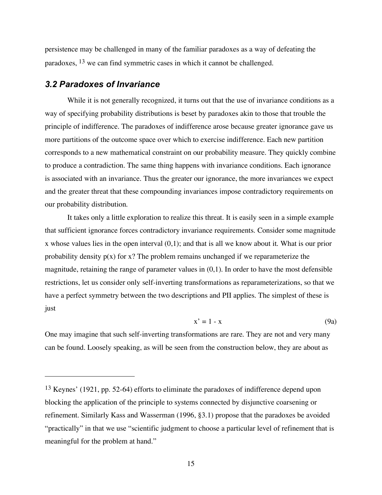persistence may be challenged in many of the familiar paradoxes as a way of defeating the paradoxes, 13 we can find symmetric cases in which it cannot be challenged.

### *3.2 Paradoxes of Invariance*

 $\overline{a}$ 

While it is not generally recognized, it turns out that the use of invariance conditions as a way of specifying probability distributions is beset by paradoxes akin to those that trouble the principle of indifference. The paradoxes of indifference arose because greater ignorance gave us more partitions of the outcome space over which to exercise indifference. Each new partition corresponds to a new mathematical constraint on our probability measure. They quickly combine to produce a contradiction. The same thing happens with invariance conditions. Each ignorance is associated with an invariance. Thus the greater our ignorance, the more invariances we expect and the greater threat that these compounding invariances impose contradictory requirements on our probability distribution.

It takes only a little exploration to realize this threat. It is easily seen in a simple example that sufficient ignorance forces contradictory invariance requirements. Consider some magnitude x whose values lies in the open interval (0,1); and that is all we know about it. What is our prior probability density  $p(x)$  for x? The problem remains unchanged if we reparameterize the magnitude, retaining the range of parameter values in  $(0,1)$ . In order to have the most defensible restrictions, let us consider only self-inverting transformations as reparameterizations, so that we have a perfect symmetry between the two descriptions and PII applies. The simplest of these is just

$$
x' = 1 - x \tag{9a}
$$

One may imagine that such self-inverting transformations are rare. They are not and very many can be found. Loosely speaking, as will be seen from the construction below, they are about as

<sup>13</sup> Keynes' (1921, pp. 52-64) efforts to eliminate the paradoxes of indifference depend upon blocking the application of the principle to systems connected by disjunctive coarsening or refinement. Similarly Kass and Wasserman (1996, §3.1) propose that the paradoxes be avoided "practically" in that we use "scientific judgment to choose a particular level of refinement that is meaningful for the problem at hand."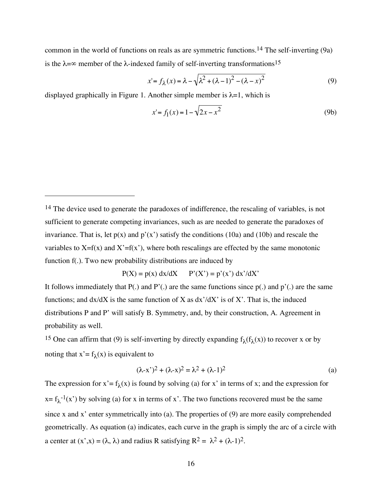common in the world of functions on reals as are symmetric functions. 14 The self-inverting (9a) is the  $\lambda = \infty$  member of the  $\lambda$ -indexed family of self-inverting transformations<sup>15</sup>

$$
x'=f_{\lambda}(x)=\lambda-\sqrt{\lambda^2+(\lambda-1)^2-(\lambda-x)^2}
$$
\n(9)

displayed graphically in Figure 1. Another simple member is  $\lambda = 1$ , which is

 $\overline{a}$ 

$$
x'=f_1(x)=1-\sqrt{2x-x^2}
$$
 (9b)

$$
P(X) = p(x) dx/dX \qquad P'(X') = p'(x') dx'/dX'
$$

It follows immediately that  $P(.)$  and  $P'(.)$  are the same functions since  $p(.)$  and  $p'(.)$  are the same functions; and  $dx/dX$  is the same function of X as  $dx'/dX'$  is of X'. That is, the induced distributions P and P' will satisfy B. Symmetry, and, by their construction, A. Agreement in probability as well.

<sup>15</sup> One can affirm that (9) is self-inverting by directly expanding  $f_{\lambda}(f_{\lambda}(x))$  to recover x or by noting that  $x' = f_{\lambda}(x)$  is equivalent to

$$
(\lambda - x')^{2} + (\lambda - x)^{2} = \lambda^{2} + (\lambda - 1)^{2}
$$
 (a)

The expression for  $x' = f_{\lambda}(x)$  is found by solving (a) for x' in terms of x; and the expression for  $x = f<sub>\lambda</sub><sup>-1</sup>(x')$  by solving (a) for x in terms of x'. The two functions recovered must be the same since x and x' enter symmetrically into (a). The properties of (9) are more easily comprehended geometrically. As equation (a) indicates, each curve in the graph is simply the arc of a circle with a center at  $(x',x) = (\lambda, \lambda)$  and radius R satisfying  $R^2 = \lambda^2 + (\lambda - 1)^2$ .

<sup>&</sup>lt;sup>14</sup> The device used to generate the paradoxes of indifference, the rescaling of variables, is not sufficient to generate competing invariances, such as are needed to generate the paradoxes of invariance. That is, let  $p(x)$  and  $p'(x')$  satisfy the conditions (10a) and (10b) and rescale the variables to  $X=f(x)$  and  $X' = f(x')$ , where both rescalings are effected by the same monotonic function f(.). Two new probability distributions are induced by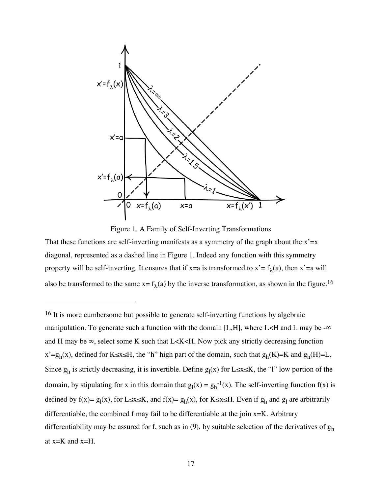

Figure 1. A Family of Self-Inverting Transformations

That these functions are self-inverting manifests as a symmetry of the graph about the  $x' = x$ diagonal, represented as a dashed line in Figure 1. Indeed any function with this symmetry property will be self-inverting. It ensures that if x=a is transformed to  $x' = f_{\lambda}(a)$ , then  $x' = a$  will also be transformed to the same  $x = f_{\lambda}(a)$  by the inverse transformation, as shown in the figure.<sup>16</sup>

 $\overline{a}$ 

<sup>&</sup>lt;sup>16</sup> It is more cumbersome but possible to generate self-inverting functions by algebraic manipulation. To generate such a function with the domain [L,H], where L<H and L may be - $\infty$ and H may be  $\infty$ , select some K such that L<K<H. Now pick any strictly decreasing function  $x'=g_h(x)$ , defined for K≤x≤H, the "h" high part of the domain, such that  $g_h(K)=K$  and  $g_h(H)=L$ . Since  $g_h$  is strictly decreasing, it is invertible. Define  $g_l(x)$  for L≤x≤K, the "l" low portion of the domain, by stipulating for x in this domain that  $g_1(x) = g_h^{-1}(x)$ . The self-inverting function  $f(x)$  is defined by f(x)=  $g_1(x)$ , for L≤x≤K, and f(x)=  $g_h(x)$ , for K≤x≤H. Even if  $g_h$  and  $g_l$  are arbitrarily differentiable, the combined f may fail to be differentiable at the join x=K. Arbitrary differentiability may be assured for f, such as in (9), by suitable selection of the derivatives of  $g_h$ at x=K and x=H.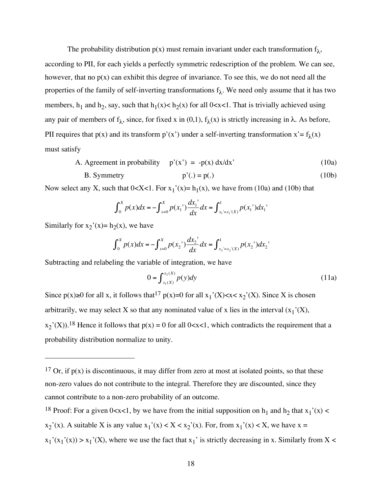The probability distribution  $p(x)$  must remain invariant under each transformation  $f_{\lambda}$ , according to PII, for each yields a perfectly symmetric redescription of the problem. We can see, however, that no  $p(x)$  can exhibit this degree of invariance. To see this, we do not need all the properties of the family of self-inverting transformations  $f_{\lambda}$ . We need only assume that it has two members,  $h_1$  and  $h_2$ , say, such that  $h_1(x) < h_2(x)$  for all 0<x<1. That is trivially achieved using any pair of members of  $f_{\lambda}$ , since, for fixed x in (0,1),  $f_{\lambda}(x)$  is strictly increasing in  $\lambda$ . As before, PII requires that  $p(x)$  and its transform  $p'(x')$  under a self-inverting transformation  $x' = f_{\lambda}(x)$ must satisfy

- A. Agreement in probability  $p'(x') = -p(x) dx/dx'$  (10a)
- B. Symmetry  $p'(.) = p(.)$  (10b)

Now select any X, such that  $0 < X < 1$ . For  $x_1'(x) = h_1(x)$ , we have from (10a) and (10b) that

$$
\int_0^X p(x)dx = -\int_{x=0}^X p(x_1) \frac{dx_1}{dx} dx = \int_{x_1 = x_1(X)}^1 p(x_1) dx_1
$$

Similarly for  $x_2'(x) = h_2(x)$ , we have

 $\overline{a}$ 

$$
\int_0^X p(x)dx = -\int_{x=0}^X p(x_2) \frac{dx_2}{dx} dx = \int_{x_2-x_2(X)}^1 p(x_2) dx_2
$$

Subtracting and relabeling the variable of integration, we have

$$
0 = \int_{x_1(X)}^{x_2(X)} p(y) dy
$$
 (11a)

arbitrarily, we may select X so that any nominated value of x lies in the interval  $(x_1'(X))$ , Since  $p(x) \ge 0$  for all x, it follows that  $1^7 p(x)=0$  for all  $x_1'(X) < x < x_2'(X)$ . Since X is chosen  $x_2'(X)$ ).<sup>18</sup> Hence it follows that  $p(x) = 0$  for all 0<x<1, which contradicts the requirement that a probability distribution normalize to unity.

<sup>18</sup> Proof: For a given 0<x<1, by we have from the initial supposition on  $h_1$  and  $h_2$  that  $x_1'(x)$  <

 $x_2'(x)$ . A suitable X is any value  $x_1'(x) < X < x_2'(x)$ . For, from  $x_1'(x) < X$ , we have  $x =$ 

<sup>&</sup>lt;sup>17</sup> Or, if  $p(x)$  is discontinuous, it may differ from zero at most at isolated points, so that these non-zero values do not contribute to the integral. Therefore they are discounted, since they cannot contribute to a non-zero probability of an outcome.

 $x_1'(x_1'(x)) > x_1'(X)$ , where we use the fact that  $x_1'$  is strictly decreasing in x. Similarly from X <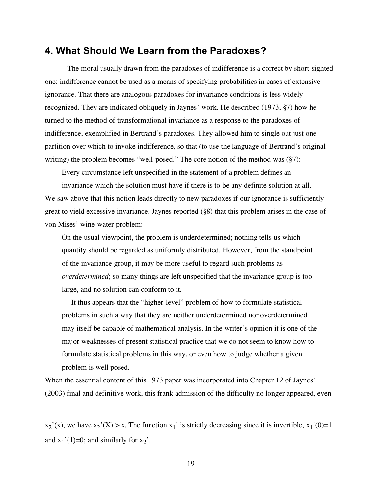## **4. What Should We Learn from the Paradoxes?**

The moral usually drawn from the paradoxes of indifference is a correct by short-sighted one: indifference cannot be used as a means of specifying probabilities in cases of extensive ignorance. That there are analogous paradoxes for invariance conditions is less widely recognized. They are indicated obliquely in Jaynes' work. He described (1973, §7) how he turned to the method of transformational invariance as a response to the paradoxes of indifference, exemplified in Bertrand's paradoxes. They allowed him to single out just one partition over which to invoke indifference, so that (to use the language of Bertrand's original writing) the problem becomes "well-posed." The core notion of the method was  $(\S7)$ :

Every circumstance left unspecified in the statement of a problem defines an

invariance which the solution must have if there is to be any definite solution at all. We saw above that this notion leads directly to new paradoxes if our ignorance is sufficiently great to yield excessive invariance. Jaynes reported (§8) that this problem arises in the case of von Mises' wine-water problem:

On the usual viewpoint, the problem is underdetermined; nothing tells us which quantity should be regarded as uniformly distributed. However, from the standpoint of the invariance group, it may be more useful to regard such problems as *overdetermined*; so many things are left unspecified that the invariance group is too large, and no solution can conform to it.

It thus appears that the "higher-level" problem of how to formulate statistical problems in such a way that they are neither underdetermined nor overdetermined may itself be capable of mathematical analysis. In the writer's opinion it is one of the major weaknesses of present statistical practice that we do not seem to know how to formulate statistical problems in this way, or even how to judge whether a given problem is well posed.

When the essential content of this 1973 paper was incorporated into Chapter 12 of Jaynes' (2003) final and definitive work, this frank admission of the difficulty no longer appeared, even

 $x_2'(x)$ , we have  $x_2'(X) > x$ . The function  $x_1'$  is strictly decreasing since it is invertible,  $x_1'(0)=1$ and  $x_1'(1)=0$ ; and similarly for  $x_2'$ .

 $\overline{a}$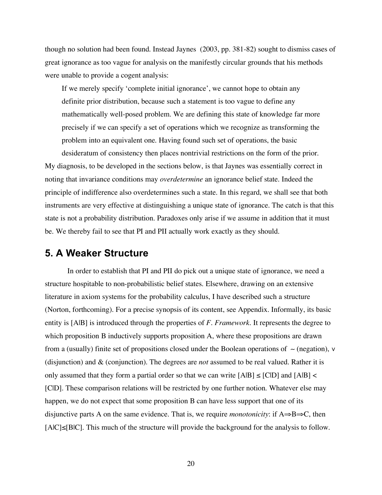though no solution had been found. Instead Jaynes (2003, pp. 381-82) sought to dismiss cases of great ignorance as too vague for analysis on the manifestly circular grounds that his methods were unable to provide a cogent analysis:

If we merely specify 'complete initial ignorance', we cannot hope to obtain any definite prior distribution, because such a statement is too vague to define any mathematically well-posed problem. We are defining this state of knowledge far more precisely if we can specify a set of operations which we recognize as transforming the problem into an equivalent one. Having found such set of operations, the basic desideratum of consistency then places nontrivial restrictions on the form of the prior.

My diagnosis, to be developed in the sections below, is that Jaynes was essentially correct in noting that invariance conditions may *overdetermine* an ignorance belief state. Indeed the principle of indifference also overdetermines such a state. In this regard, we shall see that both instruments are very effective at distinguishing a unique state of ignorance. The catch is that this state is not a probability distribution. Paradoxes only arise if we assume in addition that it must be. We thereby fail to see that PI and PII actually work exactly as they should.

# **5. A Weaker Structure**

In order to establish that PI and PII do pick out a unique state of ignorance, we need a structure hospitable to non-probabilistic belief states. Elsewhere, drawing on an extensive literature in axiom systems for the probability calculus, I have described such a structure (Norton, forthcoming). For a precise synopsis of its content, see Appendix. Informally, its basic entity is [A|B] is introduced through the properties of *F. Framework*. It represents the degree to which proposition B inductively supports proposition A, where these propositions are drawn from a (usually) finite set of propositions closed under the Boolean operations of ∼ (negation), ∨ (disjunction) and & (conjunction). The degrees are *not* assumed to be real valued. Rather it is only assumed that they form a partial order so that we can write  $[A|B] \leq [C|D]$  and  $[A|B] \leq$ [C|D]. These comparison relations will be restricted by one further notion. Whatever else may happen, we do not expect that some proposition B can have less support that one of its disjunctive parts A on the same evidence. That is, we require *monotonicity*: if A⇒B⇒C, then [A|C]≤[B|C]. This much of the structure will provide the background for the analysis to follow.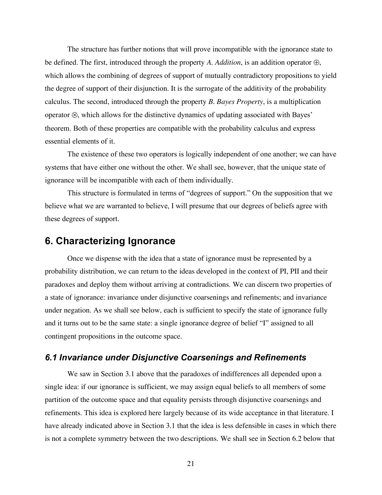The structure has further notions that will prove incompatible with the ignorance state to be defined. The first, introduced through the property *A. Addition*, is an addition operator ⊕, which allows the combining of degrees of support of mutually contradictory propositions to yield the degree of support of their disjunction. It is the surrogate of the additivity of the probability calculus. The second, introduced through the property *B. Bayes Property*, is a multiplication operator ⊗, which allows for the distinctive dynamics of updating associated with Bayes' theorem. Both of these properties are compatible with the probability calculus and express essential elements of it.

The existence of these two operators is logically independent of one another; we can have systems that have either one without the other. We shall see, however, that the unique state of ignorance will be incompatible with each of them individually.

This structure is formulated in terms of "degrees of support." On the supposition that we believe what we are warranted to believe, I will presume that our degrees of beliefs agree with these degrees of support.

## **6. Characterizing Ignorance**

Once we dispense with the idea that a state of ignorance must be represented by a probability distribution, we can return to the ideas developed in the context of PI, PII and their paradoxes and deploy them without arriving at contradictions. We can discern two properties of a state of ignorance: invariance under disjunctive coarsenings and refinements; and invariance under negation. As we shall see below, each is sufficient to specify the state of ignorance fully and it turns out to be the same state: a single ignorance degree of belief "I" assigned to all contingent propositions in the outcome space.

## *6.1 Invariance under Disjunctive Coarsenings and Refinements*

We saw in Section 3.1 above that the paradoxes of indifferences all depended upon a single idea: if our ignorance is sufficient, we may assign equal beliefs to all members of some partition of the outcome space and that equality persists through disjunctive coarsenings and refinements. This idea is explored here largely because of its wide acceptance in that literature. I have already indicated above in Section 3.1 that the idea is less defensible in cases in which there is not a complete symmetry between the two descriptions. We shall see in Section 6.2 below that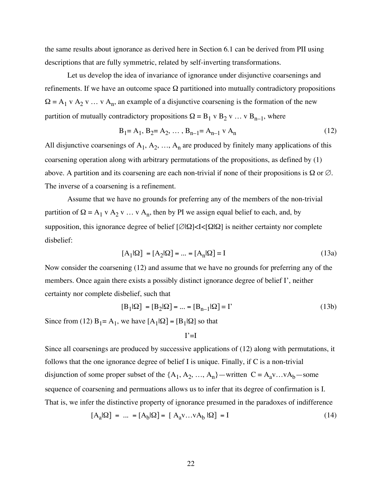the same results about ignorance as derived here in Section 6.1 can be derived from PII using descriptions that are fully symmetric, related by self-inverting transformations.

Let us develop the idea of invariance of ignorance under disjunctive coarsenings and refinements. If we have an outcome space  $\Omega$  partitioned into mutually contradictory propositions  $\Omega = A_1 v A_2 v ... v A_n$ , an example of a disjunctive coarsening is the formation of the new partition of mutually contradictory propositions  $\Omega = B_1 \vee B_2 \vee \dots \vee B_{n-1}$ , where

$$
B_1 = A_1, B_2 = A_2, \dots, B_{n-1} = A_{n-1} \cdot A_n \tag{12}
$$

All disjunctive coarsenings of  $A_1, A_2, ..., A_n$  are produced by finitely many applications of this coarsening operation along with arbitrary permutations of the propositions, as defined by (1) above. A partition and its coarsening are each non-trivial if none of their propositions is  $\Omega$  or  $\varnothing$ . The inverse of a coarsening is a refinement.

Assume that we have no grounds for preferring any of the members of the non-trivial partition of  $\Omega = A_1 v A_2 v ... v A_n$ , then by PI we assign equal belief to each, and, by supposition, this ignorance degree of belief [∅|Ω]<I<[Ω|Ω] is neither certainty nor complete disbelief:

$$
[A_1|\Omega] = [A_2|\Omega] = \dots = [A_n|\Omega] = I
$$
\n(13a)

Now consider the coarsening (12) and assume that we have no grounds for preferring any of the members. Once again there exists a possibly distinct ignorance degree of belief I', neither certainty nor complete disbelief, such that

$$
[\mathbf{B}_1|\Omega] = [\mathbf{B}_2|\Omega] = \dots = [\mathbf{B}_{n-1}|\Omega] = \Gamma
$$
\n(13b)

Since from (12)  $B_1 = A_1$ , we have  $[A_1|\Omega] = [B_1|\Omega]$  so that

$$
I'=\!\!I
$$

Since all coarsenings are produced by successive applications of (12) along with permutations, it follows that the one ignorance degree of belief I is unique. Finally, if C is a non-trivial disjunction of some proper subset of the  $\{A_1, A_2, ..., A_n\}$ —written  $C = A_a v...vA_b$ —some sequence of coarsening and permuations allows us to infer that its degree of confirmation is I. That is, we infer the distinctive property of ignorance presumed in the paradoxes of indifference

$$
[Aa|\Omega] = ... = [Ab|\Omega] = [Aav...vAb|\Omega] = I
$$
\n(14)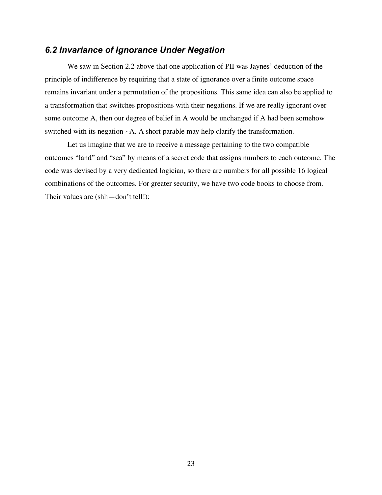## *6.2 Invariance of Ignorance Under Negation*

We saw in Section 2.2 above that one application of PII was Jaynes' deduction of the principle of indifference by requiring that a state of ignorance over a finite outcome space remains invariant under a permutation of the propositions. This same idea can also be applied to a transformation that switches propositions with their negations. If we are really ignorant over some outcome A, then our degree of belief in A would be unchanged if A had been somehow switched with its negation ∼A. A short parable may help clarify the transformation.

Let us imagine that we are to receive a message pertaining to the two compatible outcomes "land" and "sea" by means of a secret code that assigns numbers to each outcome. The code was devised by a very dedicated logician, so there are numbers for all possible 16 logical combinations of the outcomes. For greater security, we have two code books to choose from. Their values are (shh—don't tell!):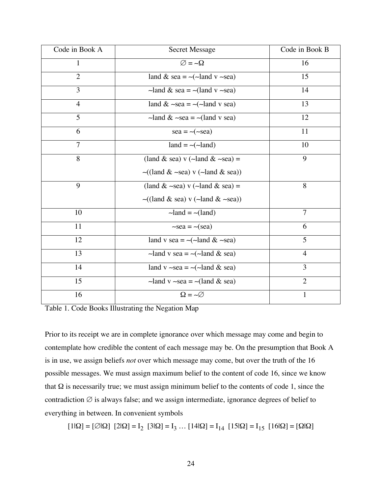| Code in Book A | <b>Secret Message</b>                                                   | Code in Book B |
|----------------|-------------------------------------------------------------------------|----------------|
| 1              | $\varnothing = -\Omega$                                                 | 16             |
| $\overline{2}$ | land & sea = $\sim$ ( $\sim$ land v $\sim$ sea)                         | 15             |
| 3              | $\sim$ land & sea = $\sim$ (land v $\sim$ sea)                          | 14             |
| $\overline{4}$ | land $& \sim$ sea = $\sim$ (~land v sea)                                | 13             |
| 5              | $-\text{land } \& \text{ } -\text{sea} = -(\text{land } v \text{ sea})$ | 12             |
| 6              | $sea = -(\text{~}sea)$                                                  | 11             |
| $\overline{7}$ | $land = \sim(\simland)$                                                 | 10             |
| 8              | (land & sea) v ( $\sim$ land & $\sim$ sea) =                            | 9              |
|                | $\sim$ ((land & $\sim$ sea) v ( $\sim$ land & sea))                     |                |
| 9              | (land & $\sim$ sea) v ( $\sim$ land & sea) =                            | 8              |
|                | $\sim$ ((land & sea) v ( $\sim$ land & $\sim$ sea))                     |                |
| 10             | $-\text{land} = -(\text{land})$                                         | $\tau$         |
| 11             | $\sim$ sea = $\sim$ (sea)                                               | 6              |
| 12             | land v sea = $\sim$ ( $\sim$ land & $\sim$ sea)                         | 5              |
| 13             | $-\text{land } v \text{ sea } = -(-\text{land } \& \text{ sea})$        | $\overline{4}$ |
| 14             | land v $\sim$ sea = $\sim$ ( $\sim$ land & sea)                         | 3              |
| 15             | $-\text{land } v$ $\sim$ sea = $-\text{(land & sea)}$                   | $\overline{2}$ |
| 16             | $\Omega = -\varnothing$                                                 | $\mathbf{1}$   |

Table 1. Code Books Illustrating the Negation Map

Prior to its receipt we are in complete ignorance over which message may come and begin to contemplate how credible the content of each message may be. On the presumption that Book A is in use, we assign beliefs *not* over which message may come, but over the truth of the 16 possible messages. We must assign maximum belief to the content of code 16, since we know that  $Ω$  is necessarily true; we must assign minimum belief to the contents of code 1, since the contradiction  $\emptyset$  is always false; and we assign intermediate, ignorance degrees of belief to everything in between. In convenient symbols

 $[1|\Omega] = [\emptyset|\Omega]$   $[2|\Omega] = I_2$   $[3|\Omega] = I_3$  ...  $[14|\Omega] = I_{14}$   $[15|\Omega] = I_{15}$   $[16|\Omega] = [\Omega|\Omega]$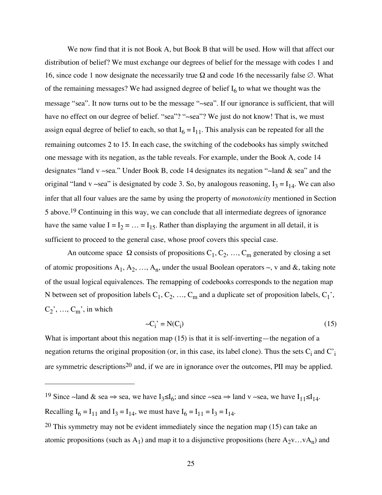We now find that it is not Book A, but Book B that will be used. How will that affect our distribution of belief? We must exchange our degrees of belief for the message with codes 1 and 16, since code 1 now designate the necessarily true  $\Omega$  and code 16 the necessarily false  $\emptyset$ . What of the remaining messages? We had assigned degree of belief  $I_6$  to what we thought was the message "sea". It now turns out to be the message "∼sea". If our ignorance is sufficient, that will have no effect on our degree of belief. "sea"? "∼sea"? We just do not know! That is, we must assign equal degree of belief to each, so that  $I_6 = I_{11}$ . This analysis can be repeated for all the remaining outcomes 2 to 15. In each case, the switching of the codebooks has simply switched one message with its negation, as the table reveals. For example, under the Book A, code 14 designates "land v ∼sea." Under Book B, code 14 designates its negation "∼land & sea" and the original "land v ~sea" is designated by code 3. So, by analogous reasoning,  $I_3 = I_{14}$ . We can also infer that all four values are the same by using the property of *monotonicity* mentioned in Section 5 above. 19 Continuing in this way, we can conclude that all intermediate degrees of ignorance have the same value  $I = I_2 = ... = I_{15}$ . Rather than displaying the argument in all detail, it is sufficient to proceed to the general case, whose proof covers this special case.

An outcome space  $\Omega$  consists of propositions  $C_1, C_2, ..., C_m$  generated by closing a set of atomic propositions  $A_1, A_2, ..., A_n$ , under the usual Boolean operators  $\sim$ , v and &, taking note of the usual logical equivalences. The remapping of codebooks corresponds to the negation map N between set of proposition labels  $C_1, C_2, ..., C_m$  and a duplicate set of proposition labels,  $C_1'$ ,  $C_2'$ , ...,  $C_m'$ , in which

$$
-C_1' = N(C_1) \tag{15}
$$

What is important about this negation map (15) is that it is self-inverting—the negation of a negation returns the original proposition (or, in this case, its label clone). Thus the sets  $C_i$  and  $C_i$ are symmetric descriptions20 and, if we are in ignorance over the outcomes, PII may be applied.

 $\overline{a}$ 

<sup>&</sup>lt;sup>19</sup> Since ∼land & sea ⇒ sea, we have  $I_3 \le I_6$ ; and since ∼sea ⇒ land v ∼sea, we have  $I_{11} \le I_{14}$ . Recalling  $I_6 = I_{11}$  and  $I_3 = I_{14}$ , we must have  $I_6 = I_{11} = I_3 = I_{14}$ .

<sup>20</sup> This symmetry may not be evident immediately since the negation map (15) can take an atomic propositions (such as A<sub>1</sub>) and map it to a disjunctive propositions (here  $A_2v...vA_n$ ) and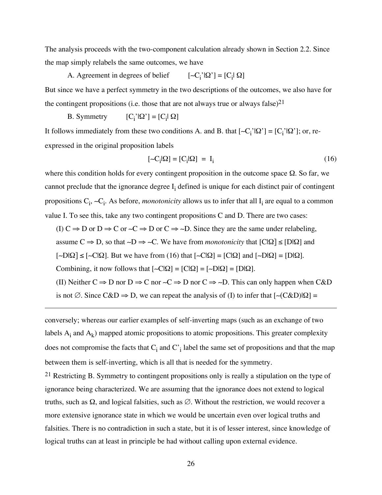The analysis proceeds with the two-component calculation already shown in Section 2.2. Since the map simply relabels the same outcomes, we have

A. Agreement in degrees of belief ' $|\Omega$ '] = [C<sub>i</sub> $|\Omega$ ] But since we have a perfect symmetry in the two descriptions of the outcomes, we also have for the contingent propositions (i.e. those that are not always true or always false)<sup>21</sup>

B. Symmetry  $'$  $\Omega$ <sup>'</sup>] = [C<sub>i</sub> $\Omega$ ]

 $\overline{a}$ 

It follows immediately from these two conditions A. and B. that  $[-C_i'|\Omega'] = [C_i'|\Omega']$ ; or, reexpressed in the original proposition labels

$$
[-C_i|\Omega] = [C_i|\Omega] = I_i \tag{16}
$$

where this condition holds for every contingent proposition in the outcome space  $\Omega$ . So far, we cannot preclude that the ignorance degree  $I_i$  defined is unique for each distinct pair of contingent propositions C<sub>i</sub>, ~C<sub>i</sub>. As before, *monotonicity* allows us to infer that all I<sub>i</sub> are equal to a common value I. To see this, take any two contingent propositions C and D. There are two cases: (I) C  $\Rightarrow$  D or D  $\Rightarrow$  C or  $\sim$ C  $\Rightarrow$  D or C  $\Rightarrow$  ~D. Since they are the same under relabeling, assume C ⇒ D, so that ∼D ⇒ ∼C. We have from *monotonicity* that [C|Ω] ≤ [D|Ω] and  $\lceil \sim D|\Omega \rceil \leq \lceil \sim C|\Omega \rceil$ . But we have from (16) that  $\lceil \sim C|\Omega \rceil = \lceil C|\Omega \rceil$  and  $\lceil \sim D|\Omega \rceil = \lceil D|\Omega \rceil$ . Combining, it now follows that  $[~\neg C|\Omega] = [C|\Omega] = [D|\Omega]$ . (II) Neither  $C \Rightarrow D$  nor  $D \Rightarrow C$  nor  $\sim C \Rightarrow D$  nor  $C \Rightarrow \sim D$ . This can only happen when C&D

is not ∅. Since  $C&D \Rightarrow D$ , we can repeat the analysis of (I) to infer that  $[~\neg (C&D)|\Omega] =$ 

conversely; whereas our earlier examples of self-inverting maps (such as an exchange of two labels  $A_i$  and  $A_k$ ) mapped atomic propositions to atomic propositions. This greater complexity does not compromise the facts that  $C_i$  and  $C'_i$  label the same set of propositions and that the map between them is self-inverting, which is all that is needed for the symmetry.

21 Restricting B. Symmetry to contingent propositions only is really a stipulation on the type of ignorance being characterized. We are assuming that the ignorance does not extend to logical truths, such as Ω, and logical falsities, such as ∅. Without the restriction, we would recover a more extensive ignorance state in which we would be uncertain even over logical truths and falsities. There is no contradiction in such a state, but it is of lesser interest, since knowledge of logical truths can at least in principle be had without calling upon external evidence.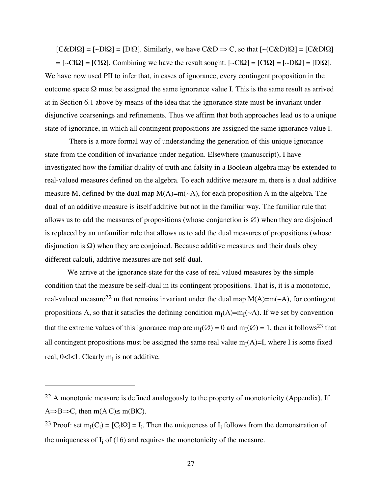$[C&D|Q] = [-D|Q] = [D|Q]$ . Similarly, we have  $C&D \Rightarrow C$ , so that  $[-(C&D)|Q] = [C&D|Q]$ 

 $= [-C|\Omega] = [C|\Omega]$ . Combining we have the result sought:  $[-C|\Omega] = [C|\Omega] = [-D|\Omega] = [D|\Omega]$ . We have now used PII to infer that, in cases of ignorance, every contingent proposition in the outcome space Ω must be assigned the same ignorance value I. This is the same result as arrived at in Section 6.1 above by means of the idea that the ignorance state must be invariant under disjunctive coarsenings and refinements. Thus we affirm that both approaches lead us to a unique state of ignorance, in which all contingent propositions are assigned the same ignorance value I.

There is a more formal way of understanding the generation of this unique ignorance state from the condition of invariance under negation. Elsewhere (manuscript), I have investigated how the familiar duality of truth and falsity in a Boolean algebra may be extended to real-valued measures defined on the algebra. To each additive measure m, there is a dual additive measure M, defined by the dual map M(A)=m(∼A), for each proposition A in the algebra. The dual of an additive measure is itself additive but not in the familiar way. The familiar rule that allows us to add the measures of propositions (whose conjunction is  $\varnothing$ ) when they are disjoined is replaced by an unfamiliar rule that allows us to add the dual measures of propositions (whose disjunction is  $\Omega$ ) when they are conjoined. Because additive measures and their duals obey different calculi, additive measures are not self-dual.

We arrive at the ignorance state for the case of real valued measures by the simple condition that the measure be self-dual in its contingent propositions. That is, it is a monotonic, real-valued measure22 m that remains invariant under the dual map M(A)=m(∼A), for contingent propositions A, so that it satisfies the defining condition m<sub>I</sub>(A)=m<sub>I</sub>(∼A). If we set by convention that the extreme values of this ignorance map are  $m_1(\emptyset) = 0$  and  $m_1(\emptyset) = 1$ , then it follows<sup>23</sup> that all contingent propositions must be assigned the same real value  $m_I(A)=I$ , where I is some fixed real,  $0 < I < 1$ . Clearly  $m_I$  is not additive.

 $\overline{a}$ 

<sup>22</sup> A monotonic measure is defined analogously to the property of monotonicity (Appendix). If  $A \Rightarrow B \Rightarrow C$ , then m(AlC) $\leq$  m(BlC).

<sup>&</sup>lt;sup>23</sup> Proof: set m<sub>I</sub>(C<sub>i</sub>) = [C<sub>i</sub>| $\Omega$ ] = I<sub>i</sub>. Then the uniqueness of I<sub>i</sub> follows from the demonstration of the uniqueness of  $I_i$  of (16) and requires the monotonicity of the measure.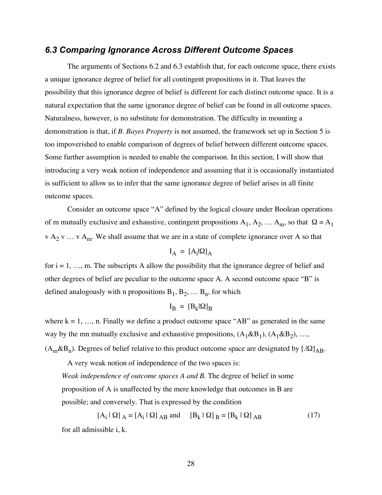## *6.3 Comparing Ignorance Across Different Outcome Spaces*

The arguments of Sections 6.2 and 6.3 establish that, for each outcome space, there exists a unique ignorance degree of belief for all contingent propositions in it. That leaves the possibility that this ignorance degree of belief is different for each distinct outcome space. It is a natural expectation that the same ignorance degree of belief can be found in all outcome spaces. Naturalness, however, is no substitute for demonstration. The difficulty in mounting a demonstration is that, if *B. Bayes Property* is not assumed, the framework set up in Section 5 is too impoverished to enable comparison of degrees of belief between different outcome spaces. Some further assumption is needed to enable the comparison. In this section, I will show that introducing a very weak notion of independence and assuming that it is occasionally instantiated is sufficient to allow us to infer that the same ignorance degree of belief arises in all finite outcome spaces.

Consider an outcome space "A" defined by the logical closure under Boolean operations of m mutually exclusive and exhaustive, contingent propositions  $A_1, A_2, ... A_m$ , so that  $\Omega = A_1$ v  $A_2$  v ... v  $A_m$ . We shall assume that we are in a state of complete ignorance over A so that

$$
I_A = [A_i | \Omega]_A
$$

for  $i = 1, \ldots, m$ . The subscripts A allow the possibility that the ignorance degree of belief and other degrees of belief are peculiar to the outcome space A. A second outcome space "B" is defined analogously with n propositions  $B_1, B_2, \ldots B_n$ , for which

$$
I_B = [B_k | \Omega]_B
$$

where  $k = 1, \ldots, n$ . Finally we define a product outcome space "AB" as generated in the same way by the mn mutually exclusive and exhaustive propositions,  $(A_1 \& B_1)$ ,  $(A_1 \& B_2)$ , ...,

 $(A_m \& B_n)$ . Degrees of belief relative to this product outcome space are designated by [. $\Omega$ ]<sub>AB</sub>.

A very weak notion of independence of the two spaces is:

*Weak independence of outcome spaces A and B*. The degree of belief in some proposition of A is unaffected by the mere knowledge that outcomes in B are possible; and conversely. That is expressed by the condition

$$
[A_i | \Omega]_A = [A_i | \Omega]_{AB} \text{ and } [B_k | \Omega]_B = [B_k | \Omega]_{AB}
$$
 (17)

for all admissible i, k.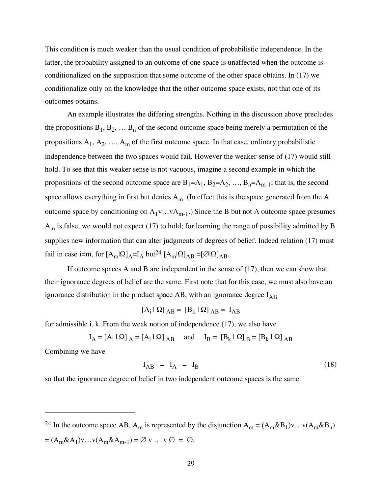This condition is much weaker than the usual condition of probabilistic independence. In the latter, the probability assigned to an outcome of one space is unaffected when the outcome is conditionalized on the supposition that some outcome of the other space obtains. In (17) we conditionalize only on the knowledge that the other outcome space exists, not that one of its outcomes obtains.

An example illustrates the differing strengths. Nothing in the discussion above precludes the propositions  $B_1, B_2, \ldots B_n$  of the second outcome space being merely a permutation of the propositions  $A_1, A_2, ..., A_m$  of the first outcome space. In that case, ordinary probabilistic independence between the two spaces would fail. However the weaker sense of (17) would still hold. To see that this weaker sense is not vacuous, imagine a second example in which the propositions of the second outcome space are  $B_1=A_1$ ,  $B_2=A_2$ , ...,  $B_n=A_{m-1}$ ; that is, the second space allows everything in first but denies  $A_m$ . (In effect this is the space generated from the A outcome space by conditioning on  $A_1v...vA_{m-1}$ .) Since the B but not A outcome space presumes  $A<sub>m</sub>$  is false, we would not expect (17) to hold; for learning the range of possibility admitted by B supplies new information that can alter judgments of degrees of belief. Indeed relation (17) must fail in case i=m, for  $[A_m|\Omega]_A = I_A$  but<sup>24</sup>  $[A_m|\Omega]_{AB} = [\emptyset|\Omega]_{AB}$ .

If outcome spaces A and B are independent in the sense of (17), then we can show that their ignorance degrees of belief are the same. First note that for this case, we must also have an ignorance distribution in the product space AB, with an ignorance degree  $I_{AB}$ 

$$
[\mathbf{A}_i \mid \mathbf{\Omega}]_{AB} = [\mathbf{B}_k \mid \mathbf{\Omega}]_{AB} = \mathbf{I}_{AB}
$$

for admissible i, k. From the weak notion of independence (17), we also have

$$
I_A = [A_i \mid \Omega]_A = [A_i \mid \Omega]_{AB} \quad \text{and} \quad I_B = [B_k \mid \Omega]_B = [B_k \mid \Omega]_{AB}
$$

Combining we have

 $\overline{a}$ 

$$
I_{AB} = I_A = I_B \tag{18}
$$

so that the ignorance degree of belief in two independent outcome spaces is the same.

<sup>24</sup> In the outcome space AB, A<sub>m</sub> is represented by the disjunction  $A_m = (A_m \& B_1)v...v(A_m \& B_n)$  $=(A_{m}\& A_{1})\vee \ldots \vee (A_{m}\& A_{m-1}) = \varnothing \vee \ldots \vee \varnothing = \varnothing.$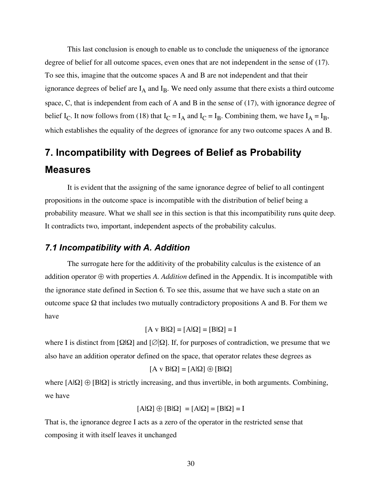This last conclusion is enough to enable us to conclude the uniqueness of the ignorance degree of belief for all outcome spaces, even ones that are not independent in the sense of (17). To see this, imagine that the outcome spaces A and B are not independent and that their ignorance degrees of belief are  $I_A$  and  $I_B$ . We need only assume that there exists a third outcome space, C, that is independent from each of A and B in the sense of (17), with ignorance degree of belief  $I_C$ . It now follows from (18) that  $I_C = I_A$  and  $I_C = I_B$ . Combining them, we have  $I_A = I_B$ , which establishes the equality of the degrees of ignorance for any two outcome spaces A and B.

# **7. Incompatibility with Degrees of Belief as Probability Measures**

It is evident that the assigning of the same ignorance degree of belief to all contingent propositions in the outcome space is incompatible with the distribution of belief being a probability measure. What we shall see in this section is that this incompatibility runs quite deep. It contradicts two, important, independent aspects of the probability calculus.

## *7.1 Incompatibility with A. Addition*

The surrogate here for the additivity of the probability calculus is the existence of an addition operator ⊕ with properties *A. Addition* defined in the Appendix. It is incompatible with the ignorance state defined in Section 6. To see this, assume that we have such a state on an outcome space Ω that includes two mutually contradictory propositions A and B. For them we have

$$
[A \vee B|\Omega] = [A|\Omega] = [B|\Omega] = I
$$

where I is distinct from  $\Omega|\Omega|$  and  $\Omega|\Omega|$ . If, for purposes of contradiction, we presume that we also have an addition operator defined on the space, that operator relates these degrees as

$$
[A \vee B|\Omega] = [A|\Omega] \oplus [B|\Omega]
$$

where  $[A|\Omega] \oplus [B|\Omega]$  is strictly increasing, and thus invertible, in both arguments. Combining, we have

$$
[A|\Omega] \oplus [B|\Omega] = [A|\Omega] = [B|\Omega] = I
$$

That is, the ignorance degree I acts as a zero of the operator in the restricted sense that composing it with itself leaves it unchanged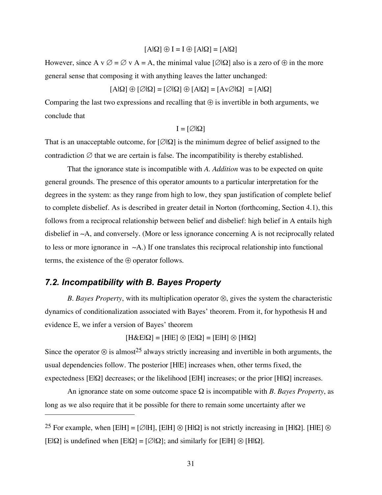$[A|\Omega] \oplus I = I \oplus [A|\Omega] = [A|\Omega]$ 

However, since A v  $\emptyset = \emptyset$  v A = A, the minimal value  $[\emptyset] \Omega$  also is a zero of  $\oplus$  in the more general sense that composing it with anything leaves the latter unchanged:

 $[A|\Omega] \oplus [\emptyset|\Omega] = [\emptyset|\Omega] \oplus [A|\Omega] = [Av \emptyset|\Omega] = [A|\Omega]$ 

Comparing the last two expressions and recalling that  $\oplus$  is invertible in both arguments, we conclude that

 $I = [\emptyset | \Omega]$ 

That is an unacceptable outcome, for  $[\emptyset] \Omega$  is the minimum degree of belief assigned to the contradiction  $\varnothing$  that we are certain is false. The incompatibility is thereby established.

That the ignorance state is incompatible with *A. Addition* was to be expected on quite general grounds. The presence of this operator amounts to a particular interpretation for the degrees in the system: as they range from high to low, they span justification of complete belief to complete disbelief. As is described in greater detail in Norton (forthcoming, Section 4.1), this follows from a reciprocal relationship between belief and disbelief: high belief in A entails high disbelief in ∼A, and conversely. (More or less ignorance concerning A is not reciprocally related to less or more ignorance in ∼A.) If one translates this reciprocal relationship into functional terms, the existence of the  $\oplus$  operator follows.

## *7.2. Incompatibility with B. Bayes Property*

 $\overline{a}$ 

*B. Bayes Property*, with its multiplication operator ⊗, gives the system the characteristic dynamics of conditionalization associated with Bayes' theorem. From it, for hypothesis H and evidence E, we infer a version of Bayes' theorem

 $[H&E|Q] = [H|E] \otimes [E|Q] = [E|H] \otimes [H|Q]$ 

Since the operator  $\otimes$  is almost<sup>25</sup> always strictly increasing and invertible in both arguments, the usual dependencies follow. The posterior [H|E] increases when, other terms fixed, the expectedness [E|Ω] decreases; or the likelihood [E|H] increases; or the prior [H|Ω] increases.

An ignorance state on some outcome space Ω is incompatible with *B. Bayes Property*, as long as we also require that it be possible for there to remain some uncertainty after we

<sup>25</sup> For example, when [ElH] = [∅|H], [ElH] ⊗ [H|Ω] is not strictly increasing in [H|Ω]. [H|E] ⊗ [E|Ω] is undefined when  $[E|Ω] = [Ø|Ω]$ ; and similarly for  $[E|H] ⊗ [H|Ω]$ .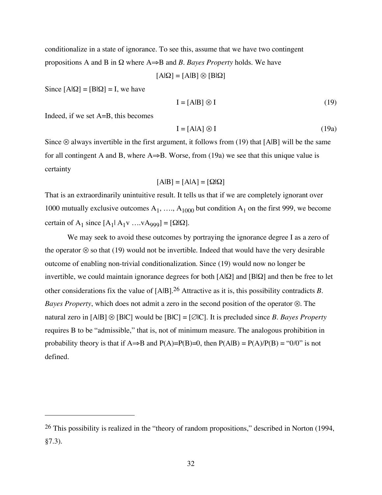conditionalize in a state of ignorance. To see this, assume that we have two contingent propositions A and B in Ω where A⇒B and *B. Bayes Property* holds. We have

 $[A|Q] = [A|B] \otimes [B|Q]$ 

Since  $[A|\Omega] = [B|\Omega] = I$ , we have

$$
\mathbf{I} = [\mathbf{A}\mathbf{B}] \otimes \mathbf{I} \tag{19}
$$

Indeed, if we set A=B, this becomes

 $\overline{a}$ 

$$
I = [A|A] \otimes I \tag{19a}
$$

Since  $\otimes$  always invertible in the first argument, it follows from (19) that [AlB] will be the same for all contingent A and B, where  $A \Rightarrow B$ . Worse, from (19a) we see that this unique value is certainty

$$
[A|B] = [A|A] = [\Omega|\Omega]
$$

That is an extraordinarily unintuitive result. It tells us that if we are completely ignorant over 1000 mutually exclusive outcomes  $A_1$ , ...,  $A_{1000}$  but condition  $A_1$  on the first 999, we become certain of A<sub>1</sub> since  $[A_1|A_1v \dots vA_{999}] = [\Omega|\Omega]$ .

We may seek to avoid these outcomes by portraying the ignorance degree I as a zero of the operator  $\otimes$  so that (19) would not be invertible. Indeed that would have the very desirable outcome of enabling non-trivial conditionalization. Since (19) would now no longer be invertible, we could maintain ignorance degrees for both [A|Ω] and [B|Ω] and then be free to let other considerations fix the value of [A|B]. 26 Attractive as it is, this possibility contradicts *B. Bayes Property*, which does not admit a zero in the second position of the operator ⊗. The natural zero in [A|B] ⊗ [B|C] would be [B|C] = [∅|C]. It is precluded since *B. Bayes Property* requires B to be "admissible," that is, not of minimum measure. The analogous prohibition in probability theory is that if A⇒B and P(A)=P(B)=0, then  $P(A|B) = P(A)/P(B) = "0/0"$  is not defined.

<sup>26</sup> This possibility is realized in the "theory of random propositions," described in Norton (1994, §7.3).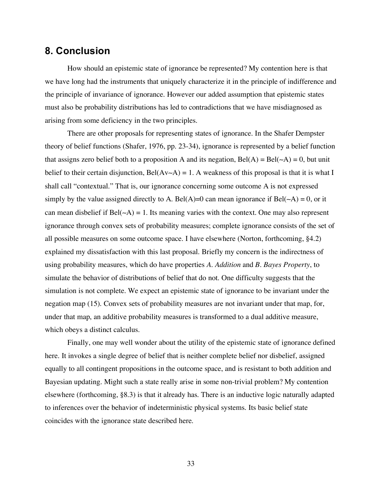# **8. Conclusion**

How should an epistemic state of ignorance be represented? My contention here is that we have long had the instruments that uniquely characterize it in the principle of indifference and the principle of invariance of ignorance. However our added assumption that epistemic states must also be probability distributions has led to contradictions that we have misdiagnosed as arising from some deficiency in the two principles.

There are other proposals for representing states of ignorance. In the Shafer Dempster theory of belief functions (Shafer, 1976, pp. 23-34), ignorance is represented by a belief function that assigns zero belief both to a proposition A and its negation,  $Bel(A) = Bel(\sim A) = 0$ , but unit belief to their certain disjunction, Bel(Av∼A) = 1. A weakness of this proposal is that it is what I shall call "contextual." That is, our ignorance concerning some outcome A is not expressed simply by the value assigned directly to A. Bel(A)=0 can mean ignorance if Bel( $\sim$ A) = 0, or it can mean disbelief if Bel(∼A) = 1. Its meaning varies with the context. One may also represent ignorance through convex sets of probability measures; complete ignorance consists of the set of all possible measures on some outcome space. I have elsewhere (Norton, forthcoming, §4.2) explained my dissatisfaction with this last proposal. Briefly my concern is the indirectness of using probability measures, which do have properties *A. Addition* and *B. Bayes Property*, to simulate the behavior of distributions of belief that do not. One difficulty suggests that the simulation is not complete. We expect an epistemic state of ignorance to be invariant under the negation map (15). Convex sets of probability measures are not invariant under that map, for, under that map, an additive probability measures is transformed to a dual additive measure, which obeys a distinct calculus.

Finally, one may well wonder about the utility of the epistemic state of ignorance defined here. It invokes a single degree of belief that is neither complete belief nor disbelief, assigned equally to all contingent propositions in the outcome space, and is resistant to both addition and Bayesian updating. Might such a state really arise in some non-trivial problem? My contention elsewhere (forthcoming, §8.3) is that it already has. There is an inductive logic naturally adapted to inferences over the behavior of indeterministic physical systems. Its basic belief state coincides with the ignorance state described here.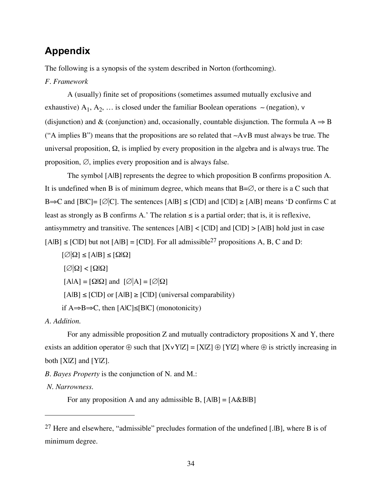# **Appendix**

The following is a synopsis of the system described in Norton (forthcoming).

#### *F. Framework*

A (usually) finite set of propositions (sometimes assumed mutually exclusive and exhaustive) A<sub>1</sub>, A<sub>2</sub>, ... is closed under the familiar Boolean operations ~ (negation), ∨ (disjunction) and & (conjunction) and, occasionally, countable disjunction. The formula  $A \Rightarrow B$ ("A implies B") means that the propositions are so related that ∼A∨B must always be true. The universal proposition,  $\Omega$ , is implied by every proposition in the algebra and is always true. The proposition,  $\emptyset$ , implies every proposition and is always false.

The symbol [A|B] represents the degree to which proposition B confirms proposition A. It is undefined when B is of minimum degree, which means that  $B=\emptyset$ , or there is a C such that B⇒C and [BIC]= [ $\emptyset$ |C]. The sentences [AlB] ≤ [ClD] and [ClD] ≥ [AlB] means 'D confirms C at least as strongly as B confirms A.' The relation  $\leq$  is a partial order; that is, it is reflexive, antisymmetry and transitive. The sentences  $[A|B] < [C|D]$  and  $[C|D] > [A|B]$  hold just in case  $[A|B] \leq [C|D]$  but not  $[A|B] = [C|D]$ . For all admissible<sup>27</sup> propositions A, B, C and D:

 $[\emptyset] \Omega] \leq [A|B] \leq [\Omega] \Omega$  $[\emptyset|\Omega]<[\Omega|\Omega]$  $[A|A] = [\Omega|\Omega]$  and  $[\emptyset]A] = [\emptyset|\Omega]$  $[A|B] \leq [C|D]$  or  $[A|B] \geq [C|D]$  (universal comparability) if A⇒B⇒C, then [AlC]≤[BlC] (monotonicity)

*A. Addition.*

For any admissible proposition  $Z$  and mutually contradictory propositions  $X$  and  $Y$ , there exists an addition operator  $\oplus$  such that  $[XvY|Z] = [X|Z] \oplus [Y|Z]$  where  $\oplus$  is strictly increasing in both [X|Z] and [Y|Z].

*B. Bayes Property* is the conjunction of N. and M.:

*N. Narrowness.*

 $\overline{a}$ 

For any proposition A and any admissible B,  $[A|B] = [A \& B|B]$ 

<sup>&</sup>lt;sup>27</sup> Here and elsewhere, "admissible" precludes formation of the undefined [.IB], where B is of minimum degree.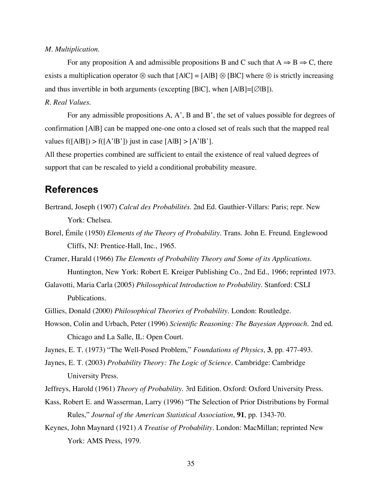#### *M. Multiplication*.

For any proposition A and admissible propositions B and C such that  $A \Rightarrow B \Rightarrow C$ , there exists a multiplication operator  $\otimes$  such that  $[A|C] = [A|B] \otimes [B|C]$  where  $\otimes$  is strictly increasing and thus invertible in both arguments (excepting [BlC], when  $[A|B] = [\emptyset|B]$ ).

#### *R. Real Values.*

For any admissible propositions A, A', B and B', the set of values possible for degrees of confirmation [A|B] can be mapped one-one onto a closed set of reals such that the mapped real values  $f([A|B]) > f([A'|B'])$  just in case  $[A|B] > [A'|B'].$ 

All these properties combined are sufficient to entail the existence of real valued degrees of support that can be rescaled to yield a conditional probability measure.

# **References**

- Bertrand, Joseph (1907) *Calcul des Probabilités.* 2nd Ed. Gauthier-Villars: Paris; repr. New York: Chelsea.
- Borel, Émile (1950) *Elements of the Theory of Probability*. Trans. John E. Freund. Englewood Cliffs, NJ: Prentice-Hall, Inc., 1965.
- Cramer, Harald (1966) *The Elements of Probability Theory and Some of its Applications*. Huntington, New York: Robert E. Kreiger Publishing Co., 2nd Ed., 1966; reprinted 1973.
- Galavotti, Maria Carla (2005) *Philosophical Introduction to Probability.* Stanford: CSLI Publications.
- Gillies, Donald (2000) *Philosophical Theories of Probability.* London: Routledge.
- Howson, Colin and Urbach, Peter (1996) *Scientific Reasoning: The Bayesian Approach.* 2nd ed. Chicago and La Salle, IL: Open Court.
- Jaynes, E. T. (1973) "The Well-Posed Problem," *Foundations of Physics*, **3**, pp. 477-493.
- Jaynes, E. T. (2003) *Probability Theory: The Logic of Science*. Cambridge: Cambridge University Press.
- Jeffreys, Harold (1961) *Theory of Probability.* 3rd Edition. Oxford: Oxford University Press.
- Kass, Robert E. and Wasserman, Larry (1996) "The Selection of Prior Distributions by Formal Rules," *Journal of the American Statistical Association*, **91**, pp. 1343-70.
- Keynes, John Maynard (1921) *A Treatise of Probability*. London: MacMillan; reprinted New York: AMS Press, 1979.